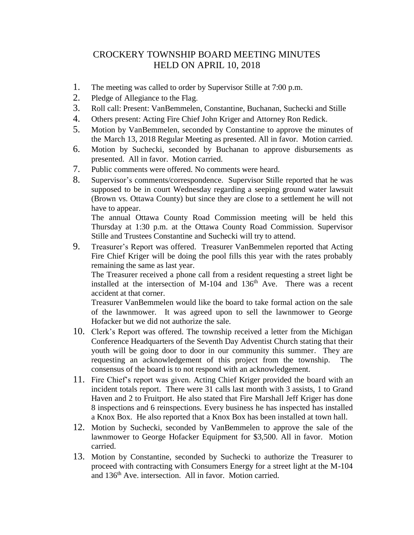## CROCKERY TOWNSHIP BOARD MEETING MINUTES HELD ON APRIL 10, 2018

- 1. The meeting was called to order by Supervisor Stille at 7:00 p.m.
- 2. Pledge of Allegiance to the Flag.
- 3. Roll call: Present: VanBemmelen, Constantine, Buchanan, Suchecki and Stille
- 4. Others present: Acting Fire Chief John Kriger and Attorney Ron Redick.
- 5. Motion by VanBemmelen, seconded by Constantine to approve the minutes of the March 13, 2018 Regular Meeting as presented. All in favor. Motion carried.
- 6. Motion by Suchecki, seconded by Buchanan to approve disbursements as presented. All in favor. Motion carried.
- 7. Public comments were offered. No comments were heard.
- 8. Supervisor's comments/correspondence. Supervisor Stille reported that he was supposed to be in court Wednesday regarding a seeping ground water lawsuit (Brown vs. Ottawa County) but since they are close to a settlement he will not have to appear.

The annual Ottawa County Road Commission meeting will be held this Thursday at 1:30 p.m. at the Ottawa County Road Commission. Supervisor Stille and Trustees Constantine and Suchecki will try to attend.

9. Treasurer's Report was offered. Treasurer VanBemmelen reported that Acting Fire Chief Kriger will be doing the pool fills this year with the rates probably remaining the same as last year.

The Treasurer received a phone call from a resident requesting a street light be installed at the intersection of M-104 and  $136<sup>th</sup>$  Ave. There was a recent accident at that corner.

Treasurer VanBemmelen would like the board to take formal action on the sale of the lawnmower. It was agreed upon to sell the lawnmower to George Hofacker but we did not authorize the sale.

- 10. Clerk's Report was offered. The township received a letter from the Michigan Conference Headquarters of the Seventh Day Adventist Church stating that their youth will be going door to door in our community this summer. They are requesting an acknowledgement of this project from the township. The consensus of the board is to not respond with an acknowledgement.
- 11. Fire Chief's report was given. Acting Chief Kriger provided the board with an incident totals report. There were 31 calls last month with 3 assists, 1 to Grand Haven and 2 to Fruitport. He also stated that Fire Marshall Jeff Kriger has done 8 inspections and 6 reinspections. Every business he has inspected has installed a Knox Box. He also reported that a Knox Box has been installed at town hall.
- 12. Motion by Suchecki, seconded by VanBemmelen to approve the sale of the lawnmower to George Hofacker Equipment for \$3,500. All in favor. Motion carried.
- 13. Motion by Constantine, seconded by Suchecki to authorize the Treasurer to proceed with contracting with Consumers Energy for a street light at the M-104 and 136th Ave. intersection. All in favor. Motion carried.